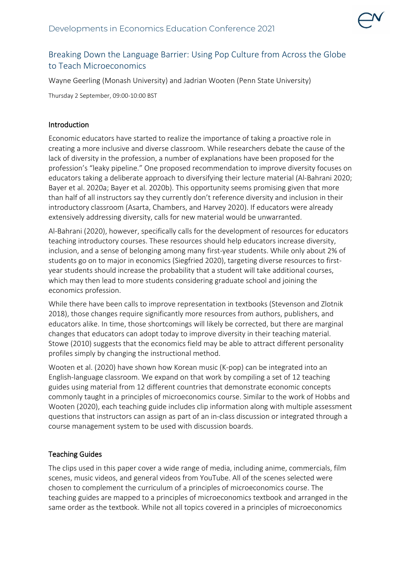

# Breaking Down the Language Barrier: Using Pop Culture from Across the Globe to Teach Microeconomics

Wayne Geerling (Monash University) and Jadrian Wooten (Penn State University)

Thursday 2 September, 09:00-10:00 BST

### Introduction

Economic educators have started to realize the importance of taking a proactive role in creating a more inclusive and diverse classroom. While researchers debate the cause of the lack of diversity in the profession, a number of explanations have been proposed for the profession's "leaky pipeline." One proposed recommendation to improve diversity focuses on educators taking a deliberate approach to diversifying their lecture material (Al-Bahrani 2020; Bayer et al. 2020a; Bayer et al. 2020b). This opportunity seems promising given that more than half of all instructors say they currently don't reference diversity and inclusion in their introductory classroom (Asarta, Chambers, and Harvey 2020). If educators were already extensively addressing diversity, calls for new material would be unwarranted.

Al-Bahrani (2020), however, specifically calls for the development of resources for educators teaching introductory courses. These resources should help educators increase diversity, inclusion, and a sense of belonging among many first-year students. While only about 2% of students go on to major in economics (Siegfried 2020), targeting diverse resources to firstyear students should increase the probability that a student will take additional courses, which may then lead to more students considering graduate school and joining the economics profession.

While there have been calls to improve representation in textbooks (Stevenson and Zlotnik 2018), those changes require significantly more resources from authors, publishers, and educators alike. In time, those shortcomings will likely be corrected, but there are marginal changes that educators can adopt today to improve diversity in their teaching material. Stowe (2010) suggests that the economics field may be able to attract different personality profiles simply by changing the instructional method.

Wooten et al. (2020) have shown how Korean music (K-pop) can be integrated into an English-language classroom. We expand on that work by compiling a set of 12 teaching guides using material from 12 different countries that demonstrate economic concepts commonly taught in a principles of microeconomics course. Similar to the work of Hobbs and Wooten (2020), each teaching guide includes clip information along with multiple assessment questions that instructors can assign as part of an in-class discussion or integrated through a course management system to be used with discussion boards.

### Teaching Guides

The clips used in this paper cover a wide range of media, including anime, commercials, film scenes, music videos, and general videos from YouTube. All of the scenes selected were chosen to complement the curriculum of a principles of microeconomics course. The teaching guides are mapped to a principles of microeconomics textbook and arranged in the same order as the textbook. While not all topics covered in a principles of microeconomics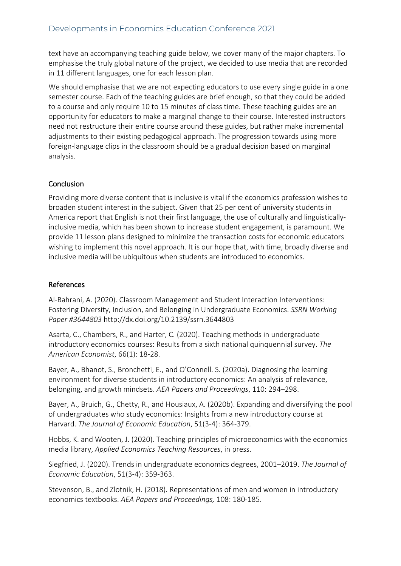text have an accompanying teaching guide below, we cover many of the major chapters. To emphasise the truly global nature of the project, we decided to use media that are recorded in 11 different languages, one for each lesson plan.

We should emphasise that we are not expecting educators to use every single guide in a one semester course. Each of the teaching guides are brief enough, so that they could be added to a course and only require 10 to 15 minutes of class time. These teaching guides are an opportunity for educators to make a marginal change to their course. Interested instructors need not restructure their entire course around these guides, but rather make incremental adjustments to their existing pedagogical approach. The progression towards using more foreign-language clips in the classroom should be a gradual decision based on marginal analysis.

## **Conclusion**

Providing more diverse content that is inclusive is vital if the economics profession wishes to broaden student interest in the subject. Given that 25 per cent of university students in America report that English is not their first language, the use of culturally and linguisticallyinclusive media, which has been shown to increase student engagement, is paramount. We provide 11 lesson plans designed to minimize the transaction costs for economic educators wishing to implement this novel approach. It is our hope that, with time, broadly diverse and inclusive media will be ubiquitous when students are introduced to economics.

### References

Al-Bahrani, A. (2020). Classroom Management and Student Interaction Interventions: Fostering Diversity, Inclusion, and Belonging in Undergraduate Economics. *SSRN Working Paper #3644803* http://dx.doi.org/10.2139/ssrn.3644803

Asarta, C., Chambers, R., and Harter, C. (2020). Teaching methods in undergraduate introductory economics courses: Results from a sixth national quinquennial survey. *The American Economist*, 66(1): 18-28.

Bayer, A., Bhanot, S., Bronchetti, E., and O'Connell. S. (2020a). Diagnosing the learning environment for diverse students in introductory economics: An analysis of relevance, belonging, and growth mindsets. *AEA Papers and Proceedings*, 110: 294–298.

Bayer, A., Bruich, G., Chetty, R., and Housiaux, A. (2020b). Expanding and diversifying the pool of undergraduates who study economics: Insights from a new introductory course at Harvard. *The Journal of Economic Education*, 51(3-4): 364-379.

Hobbs, K. and Wooten, J. (2020). Teaching principles of microeconomics with the economics media library, *Applied Economics Teaching Resources*, in press.

Siegfried, J. (2020). Trends in undergraduate economics degrees, 2001–2019. *The Journal of Economic Education*, 51(3-4): 359-363.

Stevenson, B., and Zlotnik, H. (2018). Representations of men and women in introductory economics textbooks. *AEA Papers and Proceedings,* 108: 180-185.